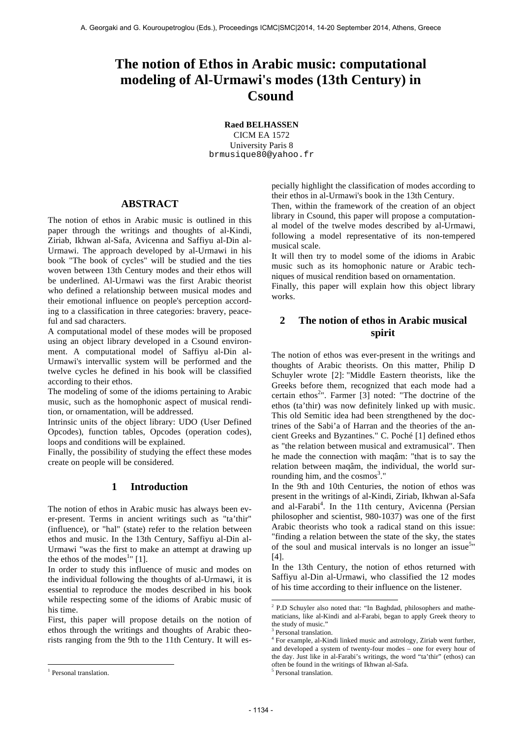# **The notion of Ethos in Arabic music: computational modeling of Al-Urmawi's modes (13th Century) in Csound**

**Raed BELHASSEN**

CICM EA 1572 University Paris 8 brmusique80@yahoo.fr

## **ABSTRACT**

The notion of ethos in Arabic music is outlined in this paper through the writings and thoughts of al-Kindi, Ziriab, Ikhwan al-Safa, Avicenna and Saffiyu al-Din al-Urmawi. The approach developed by al-Urmawi in his book "The book of cycles" will be studied and the ties woven between 13th Century modes and their ethos will be underlined. Al-Urmawi was the first Arabic theorist who defined a relationship between musical modes and their emotional influence on people's perception according to a classification in three categories: bravery, peaceful and sad characters.

A computational model of these modes will be proposed using an object library developed in a Csound environment. A computational model of Saffiyu al-Din al-Urmawi's intervallic system will be performed and the twelve cycles he defined in his book will be classified according to their ethos.

The modeling of some of the idioms pertaining to Arabic music, such as the homophonic aspect of musical rendition, or ornamentation, will be addressed.

Intrinsic units of the object library: UDO (User Defined Opcodes), function tables, Opcodes (operation codes), loops and conditions will be explained.

Finally, the possibility of studying the effect these modes create on people will be considered.

# **1 Introduction**

The notion of ethos in Arabic music has always been ever-present. Terms in ancient writings such as "ta'thir" (influence), or "hal" (state) refer to the relation between ethos and music. In the 13th Century, Saffiyu al-Din al-Urmawi "was the first to make an attempt at drawing up the ethos of the modes<sup>1</sup>" [1].

In order to study this influence of music and modes on the individual following the thoughts of al-Urmawi, it is essential to reproduce the modes described in his book while respecting some of the idioms of Arabic music of his time.

First, this paper will propose details on the notion of ethos through the writings and thoughts of Arabic theorists ranging from the 9th to the 11th Century. It will es-

1

pecially highlight the classification of modes according to their ethos in al-Urmawi's book in the 13th Century.

Then, within the framework of the creation of an object library in Csound, this paper will propose a computational model of the twelve modes described by al-Urmawi, following a model representative of its non-tempered musical scale.

It will then try to model some of the idioms in Arabic music such as its homophonic nature or Arabic techniques of musical rendition based on ornamentation.

Finally, this paper will explain how this object library works.

# **2 The notion of ethos in Arabic musical spirit**

The notion of ethos was ever-present in the writings and thoughts of Arabic theorists. On this matter, Philip D Schuyler wrote [2]: "Middle Eastern theorists, like the Greeks before them, recognized that each mode had a certain ethos<sup>2</sup>". Farmer [3] noted: "The doctrine of the ethos (ta'thir) was now definitely linked up with music. This old Semitic idea had been strengthened by the doctrines of the Sabi'a of Harran and the theories of the ancient Greeks and Byzantines." C. Poché [1] defined ethos as "the relation between musical and extramusical". Then he made the connection with maqâm: "that is to say the relation between maqâm, the individual, the world surrounding him, and the cosmos<sup>3</sup>."

In the 9th and 10th Centuries, the notion of ethos was present in the writings of al-Kindi, Ziriab, Ikhwan al-Safa and al-Farabi<sup>4</sup>. In the 11th century, Avicenna (Persian philosopher and scientist, 980-1037) was one of the first Arabic theorists who took a radical stand on this issue: "finding a relation between the state of the sky, the states of the soul and musical intervals is no longer an issue<sup>5</sup>" [4].

In the 13th Century, the notion of ethos returned with Saffiyu al-Din al-Urmawi, who classified the 12 modes of his time according to their influence on the listener.

<sup>3</sup> Personal translation.

1

<sup>&</sup>lt;sup>1</sup> Personal translation.

 $2$  P.D Schuyler also noted that: "In Baghdad, philosophers and mathematicians, like al-Kindi and al-Farabi, began to apply Greek theory to the study of music."

<sup>4</sup> For example, al-Kindi linked music and astrology, Ziriab went further, and developed a system of twenty-four modes – one for every hour of the day. Just like in al-Farabi's writings, the word "ta'thir" (ethos) can often be found in the writings of Ikhwan al-Safa.

<sup>5</sup> Personal translation.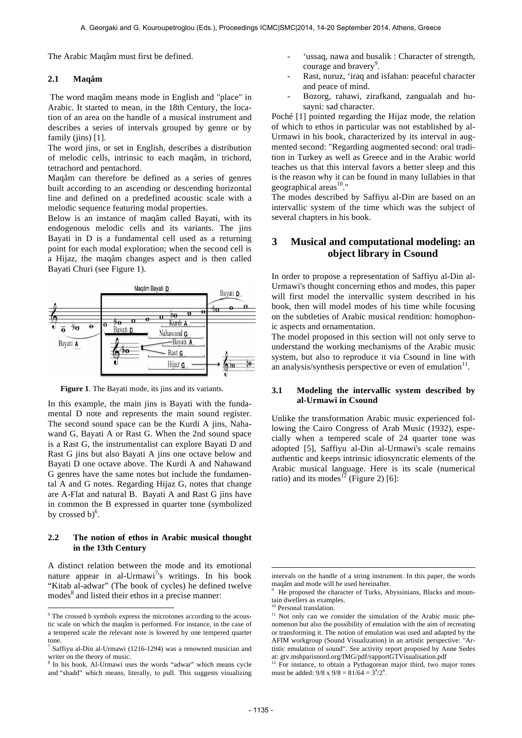The Arabic Maqâm must first be defined.

#### **2.1 Maqâm**

The word maqâm means mode in English and "place" in Arabic. It started to mean, in the 18th Century, the location of an area on the handle of a musical instrument and describes a series of intervals grouped by genre or by family (jins) [1].

The word jins, or set in English, describes a distribution of melodic cells, intrinsic to each maqâm, in trichord, tetrachord and pentachord.

Maqâm can therefore be defined as a series of genres built according to an ascending or descending horizontal line and defined on a predefined acoustic scale with a melodic sequence featuring modal properties.

Below is an instance of maqâm called Bayati, with its endogenous melodic cells and its variants. The jins Bayati in D is a fundamental cell used as a returning point for each modal exploration; when the second cell is a Hijaz, the maqâm changes aspect and is then called Bayati Churi (see Figure 1).



**Figure 1**. The Bayati mode, its jins and its variants.

In this example, the main jins is Bayati with the fundamental D note and represents the main sound register. The second sound space can be the Kurdi A jins, Nahawand G, Bayati A or Rast G. When the 2nd sound space is a Rast G, the instrumentalist can explore Bayati D and Rast G jins but also Bayati A jins one octave below and Bayati D one octave above. The Kurdi A and Nahawand G genres have the same notes but include the fundamental A and G notes. Regarding Hijaz G, notes that change are A-Flat and natural B. Bayati A and Rast G jins have in common the B expressed in quarter tone (symbolized by crossed b) $6$ .

## **2.2 The notion of ethos in Arabic musical thought in the 13th Century**

A distinct relation between the mode and its emotional nature appear in al-Urmawi<sup>7</sup>'s writings. In his book "Kitab al-adwar" (The book of cycles) he defined twelve modes<sup>8</sup> and listed their ethos in a precise manner:

1

- 'ussaq, nawa and busalik : Character of strength, courage and bravery<sup>9</sup>.
- Rast, nuruz, 'iraq and isfahan: peaceful character and peace of mind.
- Bozorg, rahawi, zirafkand, zangualah and husayni: sad character.

Poché [1] pointed regarding the Hijaz mode, the relation of which to ethos in particular was not established by al-Urmawi in his book, characterized by its interval in augmented second: "Regarding augmented second: oral tradition in Turkey as well as Greece and in the Arabic world teaches us that this interval favors a better sleep and this is the reason why it can be found in many lullabies in that geographical areas $10$ ."

The modes described by Saffiyu al-Din are based on an intervallic system of the time which was the subject of several chapters in his book.

# **3 Musical and computational modeling: an object library in Csound**

In order to propose a representation of Saffiyu al-Din al-Urmawi's thought concerning ethos and modes, this paper will first model the intervallic system described in his book, then will model modes of his time while focusing on the subtleties of Arabic musical rendition: homophonic aspects and ornamentation.

The model proposed in this section will not only serve to understand the working mechanisms of the Arabic music system, but also to reproduce it via Csound in line with an analysis/synthesis perspective or even of emulation $11$ .

## **3.1 Modeling the intervallic system described by al-Urmawi in Csound**

Unlike the transformation Arabic music experienced following the Cairo Congress of Arab Music (1932), especially when a tempered scale of 24 quarter tone was adopted [5], Saffiyu al-Din al-Urmawi's scale remains authentic and keeps intrinsic idiosyncratic elements of the Arabic musical language. Here is its scale (numerical ratio) and its modes<sup>12</sup> (Figure 2) [6]:

-

 $6$  The crossed b symbols express the microtones according to the acoustic scale on which the maqâm is performed. For instance, in the case of a tempered scale the relevant note is lowered by one tempered quarter tone.

 $7$  Saffiyu al-Din al-Urmawi (1216-1294) was a renowned musician and writer on the theory of music.

<sup>&</sup>lt;sup>3</sup> In his book, Al-Urmawi uses the words "adwar" which means cycle and "shadd" which means, literally, to pull. This suggests visualizing

intervals on the handle of a string instrument. In this paper, the words maqâm and mode will be used hereinafter.

<sup>9</sup> He proposed the character of Turks, Abyssinians, Blacks and mountain dwellers as examples.

<sup>&</sup>lt;sup>10</sup> Personal translation.

<sup>&</sup>lt;sup>11</sup> Not only can we consider the simulation of the Arabic music phenomenon but also the possibility of emulation with the aim of recreating or transforming it. The notion of emulation was used and adapted by the AFIM workgroup (Sound Visualization) in an artistic perspective: "Artistic emulation of sound". See activity report proposed by Anne Sedes at: gtv.mshparisnord.org/IMG/pdf/rapportGTVisualisation.pdf<br>
<sup>12</sup> For instruction.pdf

For instance, to obtain a Pythagorean major third, two major tones must be added:  $9/8 \times 9/8 = 81/64 = 3^4/2^6$ .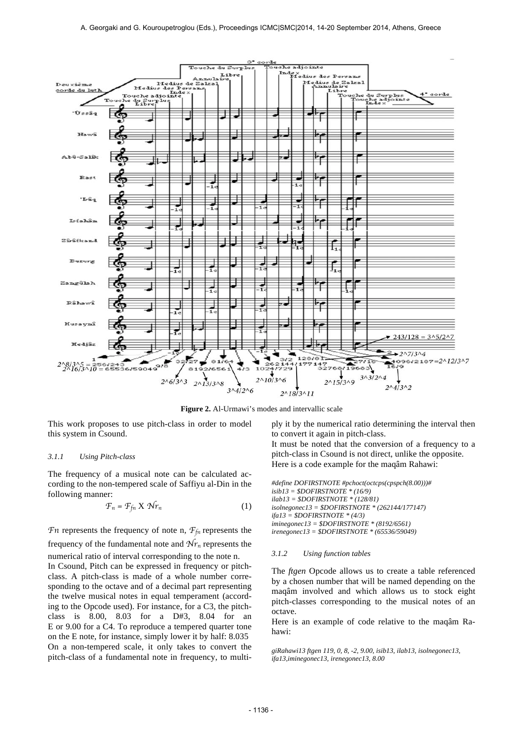

**Figure 2.** Al-Urmawi's modes and intervallic scale

This work proposes to use pitch-class in order to model this system in Csound.

#### *3.1.1 Using Pitch-class*

The frequency of a musical note can be calculated according to the non-tempered scale of Saffiyu al-Din in the following manner:

$$
\mathcal{F}_n = \mathcal{F}_{fn} \times \mathcal{N}r_n \tag{1}
$$

*Fn* represents the frequency of note n,  $F_{fn}$  represents the frequency of the fundamental note and  $\mathcal{N}r_n$  represents the numerical ratio of interval corresponding to the note n.

In Csound, Pitch can be expressed in frequency or pitchclass. A pitch-class is made of a whole number corresponding to the octave and of a decimal part representing the twelve musical notes in equal temperament (according to the Opcode used). For instance, for a C3, the pitchclass is 8.00, 8.03 for a D#3, 8.04 for an E or 9.00 for a C4. To reproduce a tempered quarter tone on the E note, for instance, simply lower it by half: 8.035 On a non-tempered scale, it only takes to convert the pitch-class of a fundamental note in frequency, to multiply it by the numerical ratio determining the interval then to convert it again in pitch-class. It must be noted that the conversion of a frequency to a pitch-class in Csound is not direct, unlike the opposite. Here is a code example for the maqâm Rahawi:

*#define DOFIRSTNOTE #pchoct(octcps(cpspch(8.00)))# isib13 = \$DOFIRSTNOTE \* (16/9) ilab13 = \$DOFIRSTNOTE \* (128/81) isolnegonec13 = \$DOFIRSTNOTE \* (262144/177147) ifa13 = \$DOFIRSTNOTE \* (4/3) iminegonec13 = \$DOFIRSTNOTE \* (8192/6561) irenegonec13 = \$DOFIRSTNOTE \* (65536/59049)*

#### *3.1.2 Using function tables*

The *ftgen* Opcode allows us to create a table referenced by a chosen number that will be named depending on the maqâm involved and which allows us to stock eight pitch-classes corresponding to the musical notes of an octave.

Here is an example of code relative to the maqâm Rahawi:

*giRahawi13 ftgen 119, 0, 8, -2, 9.00, isib13, ilab13, isolnegonec13, ifa13,iminegonec13, irenegonec13, 8.00*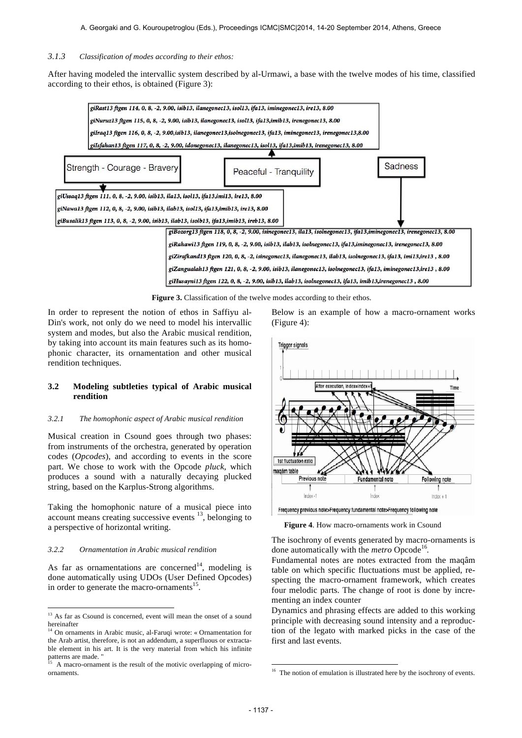## *3.1.3 Classification of modes according to their ethos:*

After having modeled the intervallic system described by al-Urmawi, a base with the twelve modes of his time, classified according to their ethos, is obtained (Figure 3):



**Figure 3.** Classification of the twelve modes according to their ethos.

In order to represent the notion of ethos in Saffiyu al-Din's work, not only do we need to model his intervallic system and modes, but also the Arabic musical rendition, by taking into account its main features such as its homophonic character, its ornamentation and other musical rendition techniques.

### **3.2 Modeling subtleties typical of Arabic musical rendition**

## *3.2.1 The homophonic aspect of Arabic musical rendition*

Musical creation in Csound goes through two phases: from instruments of the orchestra, generated by operation codes (*Opcodes*), and according to events in the score part. We chose to work with the Opcode *pluck*, which produces a sound with a naturally decaying plucked string, based on the Karplus-Strong algorithms.

Taking the homophonic nature of a musical piece into account means creating successive events  $13$ , belonging to a perspective of horizontal writing.

#### *3.2.2 Ornamentation in Arabic musical rendition*

1

As far as ornamentations are concerned<sup>14</sup>, modeling is done automatically using UDOs (User Defined Opcodes) in order to generate the macro-ornaments<sup>15</sup>.

Below is an example of how a macro-ornament works (Figure 4):



Frequency previous note>Frequency fundamental note>Frequency following note

Figure 4. How macro-ornaments work in Csound

The isochrony of events generated by macro-ornaments is done automatically with the *metro* Opcode<sup>16</sup>.

Fundamental notes are notes extracted from the maqâm table on which specific fluctuations must be applied, respecting the macro-ornament framework, which creates four melodic parts. The change of root is done by incrementing an index counter

Dynamics and phrasing effects are added to this working principle with decreasing sound intensity and a reproduction of the legato with marked picks in the case of the first and last events.

1

<sup>&</sup>lt;sup>13</sup> As far as Csound is concerned, event will mean the onset of a sound hereinafter

<sup>14</sup> On ornaments in Arabic music, al-Faruqi wrote: « Ornamentation for the Arab artist, therefore, is not an addendum, a superfluous or extractable element in his art. It is the very material from which his infinite

A macro-ornament is the result of the motivic overlapping of microornaments.

<sup>&</sup>lt;sup>16</sup> The notion of emulation is illustrated here by the isochrony of events.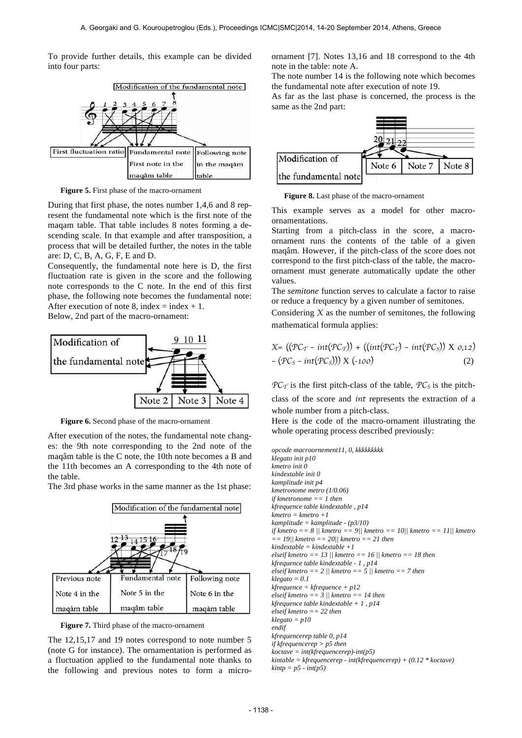To provide further details, this example can be divided into four parts:



**Figure 5.** First phase of the macro-ornament

During that first phase, the notes number 1,4,6 and 8 represent the fundamental note which is the first note of the maqam table. That table includes 8 notes forming a descending scale. In that example and after transposition, a process that will be detailed further, the notes in the table are: D, C, B, A, G, F, E and D.

Consequently, the fundamental note here is D, the first fluctuation rate is given in the score and the following note corresponds to the C note. In the end of this first phase, the following note becomes the fundamental note: After execution of note 8, index = index + 1.

Below, 2nd part of the macro-ornament:



**Figure 6.** Second phase of the macro-ornament

After execution of the notes, the fundamental note changes: the 9th note corresponding to the 2nd note of the maqâm table is the C note, the 10th note becomes a B and the 11th becomes an A corresponding to the 4th note of the table.

The 3rd phase works in the same manner as the 1st phase:



**Figure 7.** Third phase of the macro-ornament

The 12,15,17 and 19 notes correspond to note number 5 (note G for instance). The ornamentation is performed as a fluctuation applied to the fundamental note thanks to the following and previous notes to form a microornament [7]. Notes 13,16 and 18 correspond to the 4th note in the table: note A.

The note number 14 is the following note which becomes the fundamental note after execution of note 19.

As far as the last phase is concerned, the process is the same as the 2nd part:



**Figure 8.** Last phase of the macro-ornament

This example serves as a model for other macroornamentations.

Starting from a pitch-class in the score, a macroornament runs the contents of the table of a given maqâm. However, if the pitch-class of the score does not correspond to the first pitch-class of the table, the macroornament must generate automatically update the other values.

The *semitone* function serves to calculate a factor to raise or reduce a frequency by a given number of semitones.

Considering  $X$  as the number of semitones, the following mathematical formula applies:

$$
X = ((PC_T - int(PC_T)) + ((int(PC_T) - int(PC_S)) X 0,12)
$$
  
- (PC<sub>S</sub> - int(PC<sub>S</sub>))) X (-100) (2)

 $PC_T$  is the first pitch-class of the table,  $PC_S$  is the pitch-

class of the score and *int* represents the extraction of a whole number from a pitch-class.

Here is the code of the macro-ornament illustrating the whole operating process described previously:

*opcode macroornement11, 0, kkkkkkkkk klegato init p10 kmetro init 0 kindextable init 0 kamplitude init p4 kmetronome metro (1/0.06) if kmetronome == 1 then kfrequence table kindextable , p14 kmetro = kmetro +1 kamplitude = kamplitude - (p3/10) if kmetro == 8 || kmetro == 9|| kmetro == 10|| kmetro == 11|| kmetro == 19|| kmetro == 20|| kmetro == 21 then kindextable = kindextable +1 elseif kmetro == 13 || kmetro == 16 || kmetro == 18 then kfrequence table kindextable - 1 , p14 elseif kmetro == 2 || kmetro == 5 || kmetro == 7 then klegato = 0.1 kfrequence = kfrequence + p12 elseif kmetro == 3 || kmetro == 14 then kfrequence table kindextable + 1 , p14 elseif kmetro == 22 then klegato = p10 endif kfrequencerep table 0, p14 if kfrequencerep > p5 then koctave = int(kfrequencerep)-int(p5) kintable = kfrequencerep - int(kfrequencerep) + (0.12 \* koctave) kintp = p5 - int(p5)*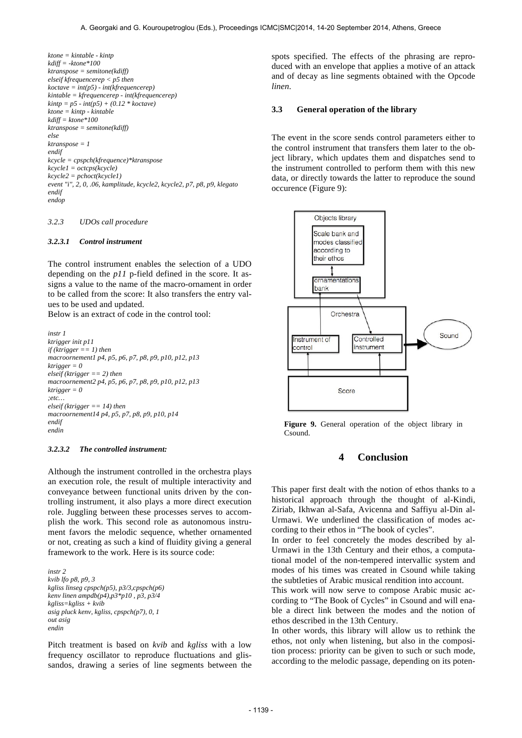*ktone = kintable - kintp kdiff = -ktone\*100 ktranspose = semitone(kdiff) elseif kfrequencerep < p5 then koctave = int(p5) - int(kfrequencerep) kintable = kfrequencerep - int(kfrequencerep) kintp = p5 - int(p5) + (0.12 \* koctave) ktone = kintp - kintable kdiff = ktone\*100 ktranspose = semitone(kdiff) else ktranspose = 1 endif kcycle = cpspch(kfrequence)\*ktranspose kcycle1 = octcps(kcycle) kcycle2 = pchoct(kcycle1) event "i", 2, 0, .06, kamplitude, kcycle2, kcycle2, p7, p8, p9, klegato endif endop*

#### *3.2.3 UDOs call procedure*

#### *3.2.3.1 Control instrument*

The control instrument enables the selection of a UDO depending on the *p11* p-field defined in the score. It assigns a value to the name of the macro-ornament in order to be called from the score: It also transfers the entry values to be used and updated.

Below is an extract of code in the control tool:

```
instr 1
ktrigger init p11
if (ktrigger == 1) then
macroornement1 p4, p5, p6, p7, p8, p9, p10, p12, p13
ktrigger = 0 
elseif (ktrigger == 2) then
macroornement2 p4, p5, p6, p7, p8, p9, p10, p12, p13
ktrigger = 0
;etc…
elseif (ktrigger == 14) then
macroornement14 p4, p5, p7, p8, p9, p10, p14
endif
endin
```
#### *3.2.3.2 The controlled instrument:*

Although the instrument controlled in the orchestra plays an execution role, the result of multiple interactivity and conveyance between functional units driven by the controlling instrument, it also plays a more direct execution role. Juggling between these processes serves to accomplish the work. This second role as autonomous instrument favors the melodic sequence, whether ornamented or not, creating as such a kind of fluidity giving a general framework to the work. Here is its source code:

*instr 2 kvib lfo p8, p9, 3 kgliss linseg cpspch(p5), p3/3,cpspch(p6) kenv linen ampdb(p4),p3\*p10 , p3, p3/4 kgliss=kgliss + kvib asig pluck kenv, kgliss, cpspch(p7), 0, 1 out asig endin*

Pitch treatment is based on *kvib* and *kgliss* with a low frequency oscillator to reproduce fluctuations and glissandos, drawing a series of line segments between the spots specified. The effects of the phrasing are reproduced with an envelope that applies a motive of an attack and of decay as line segments obtained with the Opcode *linen*.

#### **3.3 General operation of the library**

The event in the score sends control parameters either to the control instrument that transfers them later to the object library, which updates them and dispatches send to the instrument controlled to perform them with this new data, or directly towards the latter to reproduce the sound occurence (Figure 9):



**Figure 9.** General operation of the object library in Csound.

# **4 Conclusion**

This paper first dealt with the notion of ethos thanks to a historical approach through the thought of al-Kindi, Ziriab, Ikhwan al-Safa, Avicenna and Saffiyu al-Din al-Urmawi. We underlined the classification of modes according to their ethos in "The book of cycles".

In order to feel concretely the modes described by al-Urmawi in the 13th Century and their ethos, a computational model of the non-tempered intervallic system and modes of his times was created in Csound while taking the subtleties of Arabic musical rendition into account.

This work will now serve to compose Arabic music according to "The Book of Cycles" in Csound and will enable a direct link between the modes and the notion of ethos described in the 13th Century.

In other words, this library will allow us to rethink the ethos, not only when listening, but also in the composition process: priority can be given to such or such mode, according to the melodic passage, depending on its poten-